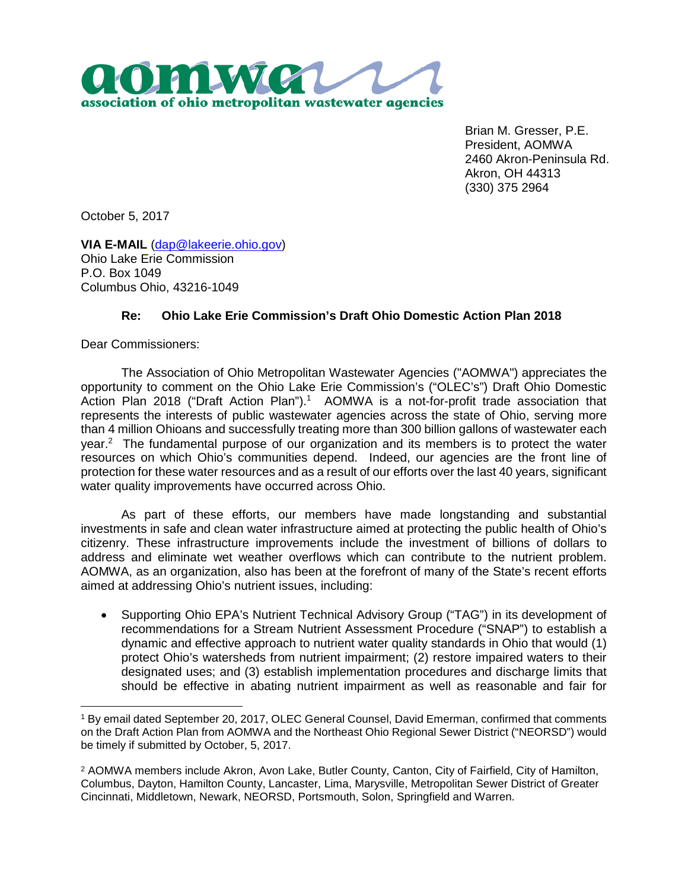

Brian M. Gresser, P.E. President, AOMWA 2460 Akron-Peninsula Rd. Akron, OH 44313 (330) 375 2964

October 5, 2017

**VIA E-MAIL** (dap@lakeerie.ohio.gov) Ohio Lake Erie Commission P.O. Box 1049 Columbus Ohio, 43216-1049

## **Re: Ohio Lake Erie Commission's Draft Ohio Domestic Action Plan 2018**

Dear Commissioners:

The Association of Ohio Metropolitan Wastewater Agencies ("AOMWA") appreciates the opportunity to comment on the Ohio Lake Erie Commission's ("OLEC's") Draft Ohio Domestic Action Plan 2018 ("Draft Action Plan").<sup>1</sup> AOMWA is a not-for-profit trade association that represents the interests of public wastewater agencies across the state of Ohio, serving more than 4 million Ohioans and successfully treating more than 300 billion gallons of wastewater each year.<sup>2</sup> The fundamental purpose of our organization and its members is to protect the water resources on which Ohio's communities depend. Indeed, our agencies are the front line of protection for these water resources and as a result of our efforts over the last 40 years, significant water quality improvements have occurred across Ohio.

As part of these efforts, our members have made longstanding and substantial investments in safe and clean water infrastructure aimed at protecting the public health of Ohio's citizenry. These infrastructure improvements include the investment of billions of dollars to address and eliminate wet weather overflows which can contribute to the nutrient problem. AOMWA, as an organization, also has been at the forefront of many of the State's recent efforts aimed at addressing Ohio's nutrient issues, including:

• Supporting Ohio EPA's Nutrient Technical Advisory Group ("TAG") in its development of recommendations for a Stream Nutrient Assessment Procedure ("SNAP") to establish a dynamic and effective approach to nutrient water quality standards in Ohio that would (1) protect Ohio's watersheds from nutrient impairment; (2) restore impaired waters to their designated uses; and (3) establish implementation procedures and discharge limits that should be effective in abating nutrient impairment as well as reasonable and fair for

<sup>1</sup> By email dated September 20, 2017, OLEC General Counsel, David Emerman, confirmed that comments on the Draft Action Plan from AOMWA and the Northeast Ohio Regional Sewer District ("NEORSD") would be timely if submitted by October, 5, 2017.

<sup>2</sup> AOMWA members include Akron, Avon Lake, Butler County, Canton, City of Fairfield, City of Hamilton, Columbus, Dayton, Hamilton County, Lancaster, Lima, Marysville, Metropolitan Sewer District of Greater Cincinnati, Middletown, Newark, NEORSD, Portsmouth, Solon, Springfield and Warren.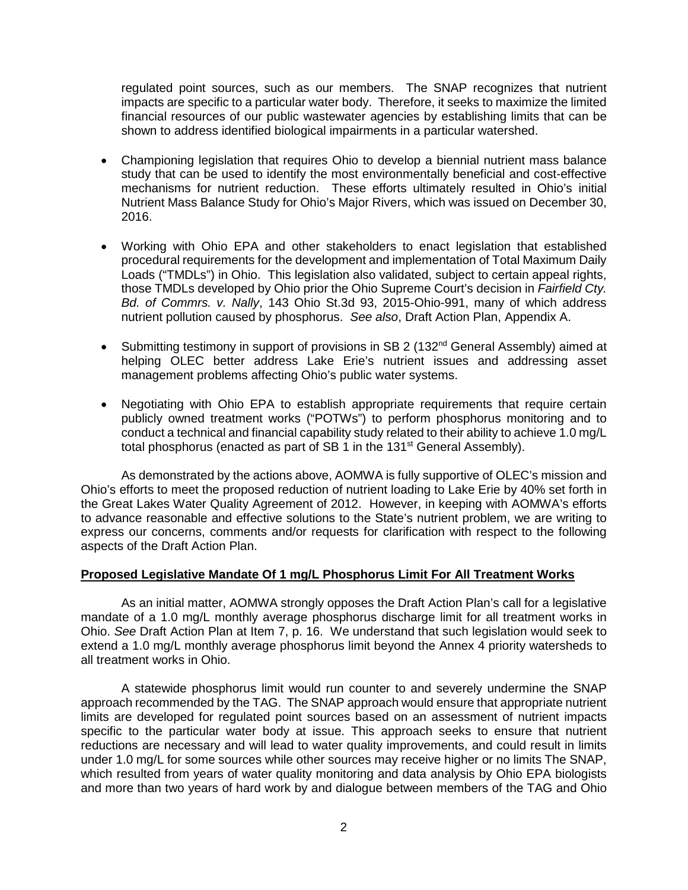regulated point sources, such as our members. The SNAP recognizes that nutrient impacts are specific to a particular water body. Therefore, it seeks to maximize the limited financial resources of our public wastewater agencies by establishing limits that can be shown to address identified biological impairments in a particular watershed.

- Championing legislation that requires Ohio to develop a biennial nutrient mass balance study that can be used to identify the most environmentally beneficial and cost-effective mechanisms for nutrient reduction. These efforts ultimately resulted in Ohio's initial Nutrient Mass Balance Study for Ohio's Major Rivers, which was issued on December 30, 2016.
- Working with Ohio EPA and other stakeholders to enact legislation that established procedural requirements for the development and implementation of Total Maximum Daily Loads ("TMDLs") in Ohio. This legislation also validated, subject to certain appeal rights, those TMDLs developed by Ohio prior the Ohio Supreme Court's decision in *Fairfield Cty. Bd. of Commrs. v. Nally*, 143 Ohio St.3d 93, 2015-Ohio-991, many of which address nutrient pollution caused by phosphorus. *See also*, Draft Action Plan, Appendix A.
- Submitting testimony in support of provisions in SB 2 (132<sup>nd</sup> General Assembly) aimed at helping OLEC better address Lake Erie's nutrient issues and addressing asset management problems affecting Ohio's public water systems.
- Negotiating with Ohio EPA to establish appropriate requirements that require certain publicly owned treatment works ("POTWs") to perform phosphorus monitoring and to conduct a technical and financial capability study related to their ability to achieve 1.0 mg/L total phosphorus (enacted as part of SB 1 in the 131<sup>st</sup> General Assembly).

As demonstrated by the actions above, AOMWA is fully supportive of OLEC's mission and Ohio's efforts to meet the proposed reduction of nutrient loading to Lake Erie by 40% set forth in the Great Lakes Water Quality Agreement of 2012. However, in keeping with AOMWA's efforts to advance reasonable and effective solutions to the State's nutrient problem, we are writing to express our concerns, comments and/or requests for clarification with respect to the following aspects of the Draft Action Plan.

## **Proposed Legislative Mandate Of 1 mg/L Phosphorus Limit For All Treatment Works**

As an initial matter, AOMWA strongly opposes the Draft Action Plan's call for a legislative mandate of a 1.0 mg/L monthly average phosphorus discharge limit for all treatment works in Ohio. *See* Draft Action Plan at Item 7, p. 16. We understand that such legislation would seek to extend a 1.0 mg/L monthly average phosphorus limit beyond the Annex 4 priority watersheds to all treatment works in Ohio.

A statewide phosphorus limit would run counter to and severely undermine the SNAP approach recommended by the TAG. The SNAP approach would ensure that appropriate nutrient limits are developed for regulated point sources based on an assessment of nutrient impacts specific to the particular water body at issue. This approach seeks to ensure that nutrient reductions are necessary and will lead to water quality improvements, and could result in limits under 1.0 mg/L for some sources while other sources may receive higher or no limits The SNAP, which resulted from years of water quality monitoring and data analysis by Ohio EPA biologists and more than two years of hard work by and dialogue between members of the TAG and Ohio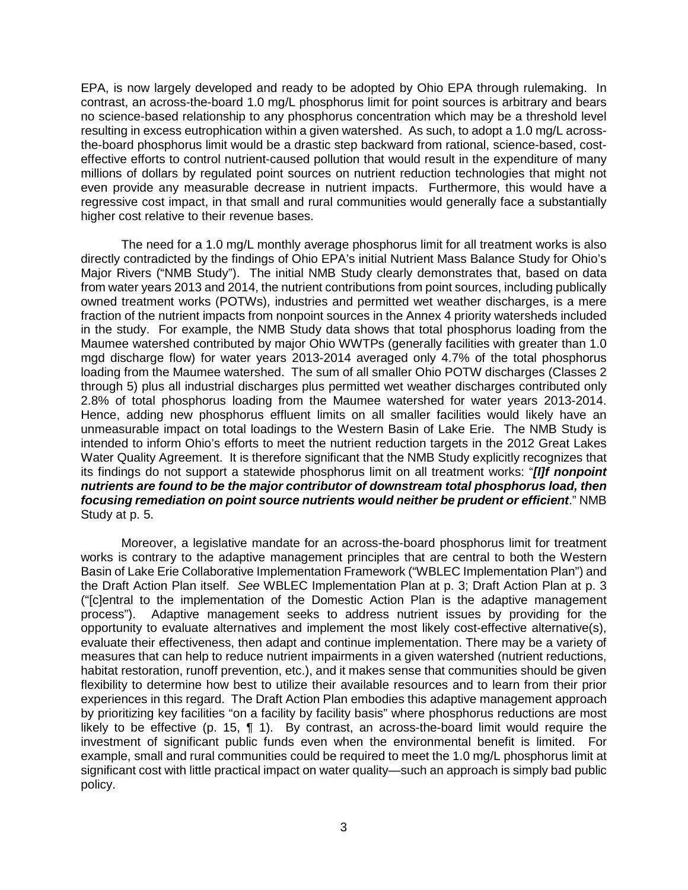EPA, is now largely developed and ready to be adopted by Ohio EPA through rulemaking. In contrast, an across-the-board 1.0 mg/L phosphorus limit for point sources is arbitrary and bears no science-based relationship to any phosphorus concentration which may be a threshold level resulting in excess eutrophication within a given watershed. As such, to adopt a 1.0 mg/L acrossthe-board phosphorus limit would be a drastic step backward from rational, science-based, costeffective efforts to control nutrient-caused pollution that would result in the expenditure of many millions of dollars by regulated point sources on nutrient reduction technologies that might not even provide any measurable decrease in nutrient impacts. Furthermore, this would have a regressive cost impact, in that small and rural communities would generally face a substantially higher cost relative to their revenue bases.

The need for a 1.0 mg/L monthly average phosphorus limit for all treatment works is also directly contradicted by the findings of Ohio EPA's initial Nutrient Mass Balance Study for Ohio's Major Rivers ("NMB Study"). The initial NMB Study clearly demonstrates that, based on data from water years 2013 and 2014, the nutrient contributions from point sources, including publically owned treatment works (POTWs), industries and permitted wet weather discharges, is a mere fraction of the nutrient impacts from nonpoint sources in the Annex 4 priority watersheds included in the study. For example, the NMB Study data shows that total phosphorus loading from the Maumee watershed contributed by major Ohio WWTPs (generally facilities with greater than 1.0 mgd discharge flow) for water years 2013-2014 averaged only 4.7% of the total phosphorus loading from the Maumee watershed. The sum of all smaller Ohio POTW discharges (Classes 2 through 5) plus all industrial discharges plus permitted wet weather discharges contributed only 2.8% of total phosphorus loading from the Maumee watershed for water years 2013-2014. Hence, adding new phosphorus effluent limits on all smaller facilities would likely have an unmeasurable impact on total loadings to the Western Basin of Lake Erie. The NMB Study is intended to inform Ohio's efforts to meet the nutrient reduction targets in the 2012 Great Lakes Water Quality Agreement. It is therefore significant that the NMB Study explicitly recognizes that its findings do not support a statewide phosphorus limit on all treatment works: "*[I]f nonpoint nutrients are found to be the major contributor of downstream total phosphorus load, then focusing remediation on point source nutrients would neither be prudent or efficient*." NMB Study at p. 5.

Moreover, a legislative mandate for an across-the-board phosphorus limit for treatment works is contrary to the adaptive management principles that are central to both the Western Basin of Lake Erie Collaborative Implementation Framework ("WBLEC Implementation Plan") and the Draft Action Plan itself. *See* WBLEC Implementation Plan at p. 3; Draft Action Plan at p. 3 ("[c]entral to the implementation of the Domestic Action Plan is the adaptive management process"). Adaptive management seeks to address nutrient issues by providing for the opportunity to evaluate alternatives and implement the most likely cost-effective alternative(s), evaluate their effectiveness, then adapt and continue implementation. There may be a variety of measures that can help to reduce nutrient impairments in a given watershed (nutrient reductions, habitat restoration, runoff prevention, etc.), and it makes sense that communities should be given flexibility to determine how best to utilize their available resources and to learn from their prior experiences in this regard. The Draft Action Plan embodies this adaptive management approach by prioritizing key facilities "on a facility by facility basis" where phosphorus reductions are most likely to be effective (p. 15, ¶ 1). By contrast, an across-the-board limit would require the investment of significant public funds even when the environmental benefit is limited. For example, small and rural communities could be required to meet the 1.0 mg/L phosphorus limit at significant cost with little practical impact on water quality—such an approach is simply bad public policy.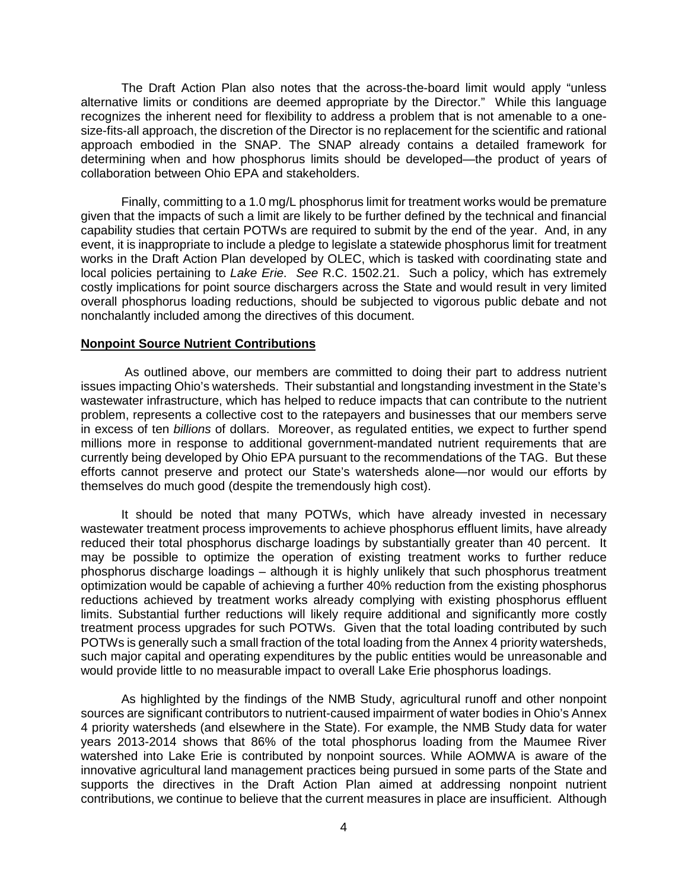The Draft Action Plan also notes that the across-the-board limit would apply "unless alternative limits or conditions are deemed appropriate by the Director." While this language recognizes the inherent need for flexibility to address a problem that is not amenable to a onesize-fits-all approach, the discretion of the Director is no replacement for the scientific and rational approach embodied in the SNAP. The SNAP already contains a detailed framework for determining when and how phosphorus limits should be developed—the product of years of collaboration between Ohio EPA and stakeholders.

Finally, committing to a 1.0 mg/L phosphorus limit for treatment works would be premature given that the impacts of such a limit are likely to be further defined by the technical and financial capability studies that certain POTWs are required to submit by the end of the year. And, in any event, it is inappropriate to include a pledge to legislate a statewide phosphorus limit for treatment works in the Draft Action Plan developed by OLEC, which is tasked with coordinating state and local policies pertaining to *Lake Erie*. *See* R.C. 1502.21. Such a policy, which has extremely costly implications for point source dischargers across the State and would result in very limited overall phosphorus loading reductions, should be subjected to vigorous public debate and not nonchalantly included among the directives of this document.

## **Nonpoint Source Nutrient Contributions**

 As outlined above, our members are committed to doing their part to address nutrient issues impacting Ohio's watersheds. Their substantial and longstanding investment in the State's wastewater infrastructure, which has helped to reduce impacts that can contribute to the nutrient problem, represents a collective cost to the ratepayers and businesses that our members serve in excess of ten *billions* of dollars. Moreover, as regulated entities, we expect to further spend millions more in response to additional government-mandated nutrient requirements that are currently being developed by Ohio EPA pursuant to the recommendations of the TAG. But these efforts cannot preserve and protect our State's watersheds alone—nor would our efforts by themselves do much good (despite the tremendously high cost).

It should be noted that many POTWs, which have already invested in necessary wastewater treatment process improvements to achieve phosphorus effluent limits, have already reduced their total phosphorus discharge loadings by substantially greater than 40 percent. It may be possible to optimize the operation of existing treatment works to further reduce phosphorus discharge loadings – although it is highly unlikely that such phosphorus treatment optimization would be capable of achieving a further 40% reduction from the existing phosphorus reductions achieved by treatment works already complying with existing phosphorus effluent limits. Substantial further reductions will likely require additional and significantly more costly treatment process upgrades for such POTWs. Given that the total loading contributed by such POTWs is generally such a small fraction of the total loading from the Annex 4 priority watersheds, such major capital and operating expenditures by the public entities would be unreasonable and would provide little to no measurable impact to overall Lake Erie phosphorus loadings.

As highlighted by the findings of the NMB Study, agricultural runoff and other nonpoint sources are significant contributors to nutrient-caused impairment of water bodies in Ohio's Annex 4 priority watersheds (and elsewhere in the State). For example, the NMB Study data for water years 2013-2014 shows that 86% of the total phosphorus loading from the Maumee River watershed into Lake Erie is contributed by nonpoint sources. While AOMWA is aware of the innovative agricultural land management practices being pursued in some parts of the State and supports the directives in the Draft Action Plan aimed at addressing nonpoint nutrient contributions, we continue to believe that the current measures in place are insufficient. Although